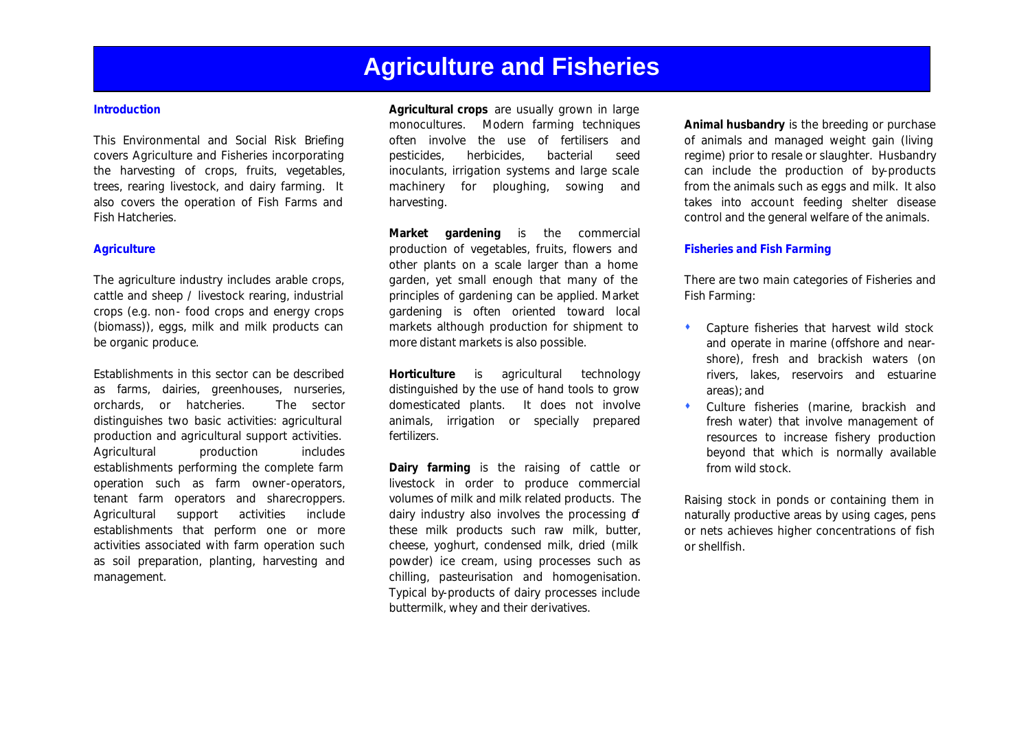#### **Introduction**

This Environmental and Social Risk Briefing covers Agriculture and Fisheries incorporating the harvesting of crops, fruits, vegetables, trees, rearing livestock, and dairy farming. It also covers the operation of Fish Farms and Fish Hatcheries.

#### *Agriculture*

The agriculture industry includes arable crops, cattle and sheep / livestock rearing, industrial crops (e.g. non- food crops and energy crops (biomass)), eggs, milk and milk products can be organic produce.

Establishments in this sector can be described as farms, dairies, greenhouses, nurseries, orchards, or hatcheries. The sector distinguishes two basic activities: agricultural production and agricultural support activities. Agricultural production includes establishments performing the complete farm operation such as farm owner-operators, tenant farm operators and sharecroppers. Agricultural support activities include establishments that perform one or more activities associated with farm operation such as soil preparation, planting, harvesting and management.

**Agricultural crops** are usually grown in large monocultures. Modern farming techniques often involve the use of fertilisers and pesticides, herbicides, bacterial seed inoculants, irrigation systems and large scale machinery for ploughing, sowing and harvesting.

**Market gardening** is the commercial production of vegetables, fruits, flowers and other plants on a scale larger than a home garden, yet small enough that many of the principles of gardening can be applied. Market gardening is often oriented toward local markets although production for shipment to more distant markets is also possible.

**Horticulture** is agricultural technology distinguished by the use of hand tools to grow domesticated plants. It does not involve animals, irrigation or specially prepared fertilizers.

**Dairy farming** is the raising of cattle or livestock in order to produce commercial volumes of milk and milk related products. The dairy industry also involves the processing of these milk products such raw milk, butter, cheese, yoghurt, condensed milk, dried (milk powder) ice cream, using processes such as chilling, pasteurisation and homogenisation. Typical by-products of dairy processes include buttermilk, whey and their derivatives.

**Animal husbandry** is the breeding or purchase of animals and managed weight gain (living regime) prior to resale or slaughter. Husbandry can include the production of by-products from the animals such as eggs and milk. It also takes into account feeding shelter disease control and the general welfare of the animals.

#### *Fisheries and Fish Farming*

There are two main categories of Fisheries and Fish Farming:

- $\bullet$  Capture fisheries that harvest wild stock and operate in marine (offshore and nearshore), fresh and brackish waters (on rivers, lakes, reservoirs and estuarine areas); and
- $\bullet$  Culture fisheries (marine, brackish and fresh water) that involve management of resources to increase fishery production beyond that which is normally available from wild stock.

Raising stock in ponds or containing them in naturally productive areas by using cages, pens or nets achieves higher concentrations of fish or shellfish.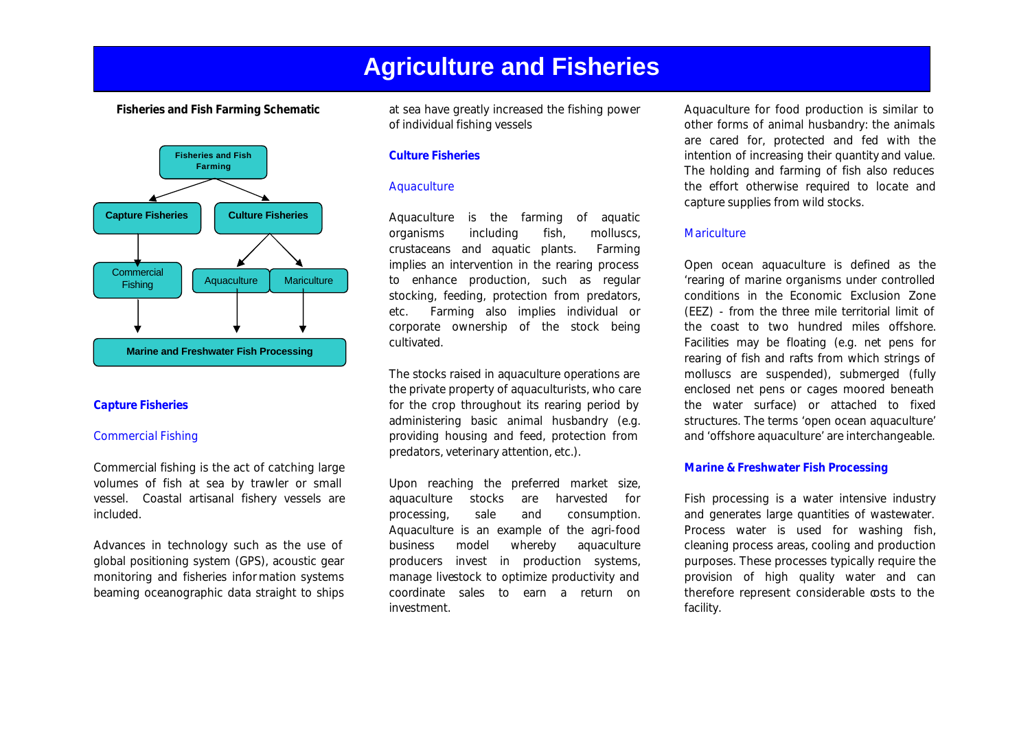**Fisheries and Fish Farming Schematic**



#### *Capture Fisheries*

#### *Commercial Fishing*

Commercial fishing is the act of catching large volumes of fish at sea by trawler or small vessel. Coastal artisanal fishery vessels are included.

Advances in technology such as the use of global positioning system (GPS), acoustic gear monitoring and fisheries infor mation systems beaming oceanographic data straight to ships at sea have greatly increased the fishing power of individual fishing vessels

#### *Culture Fisheries*

#### *Aquaculture*

Aquaculture is the farming of aquatic organisms including fish, molluscs, crustaceans and aquatic plants. Farming implies an intervention in the rearing process to enhance production, such as regular stocking, feeding, protection from predators, etc. Farming also implies individual or corporate ownership of the stock being cultivated.

The stocks raised in aquaculture operations are the private property of aquaculturists, who care for the crop throughout its rearing period by administering basic animal husbandry (e.g. providing housing and feed, protection from predators, veterinary attention, etc.).

Upon reaching the preferred market size, aquaculture stocks are harvested for processing, sale and consumption. Aquaculture is an example of the agri-food business model whereby aquaculture producers invest in production systems, manage livestock to optimize productivity and coordinate sales to earn a return on investment.

Aquaculture for food production is similar to other forms of animal husbandry: the animals are cared for, protected and fed with the intention of increasing their quantity and value. The holding and farming of fish also reduces the effort otherwise required to locate and capture supplies from wild stocks.

#### *Mariculture*

Open ocean aquaculture is defined as the 'rearing of marine organisms under controlled conditions in the Economic Exclusion Zone (EEZ) - from the three mile territorial limit of the coast to two hundred miles offshore. Facilities may be floating (e.g. net pens for rearing of fish and rafts from which strings of molluscs are suspended), submerged (fully enclosed net pens or cages moored beneath the water surface) or attached to fixed structures. The terms 'open ocean aquaculture' and 'offshore aquaculture' are interchangeable.

#### *Marine & Freshwater Fish Processing*

Fish processing is a water intensive industry and generates large quantities of wastewater. Process water is used for washing fish, cleaning process areas, cooling and production purposes. These processes typically require the provision of high quality water and can therefore represent considerable costs to the facility.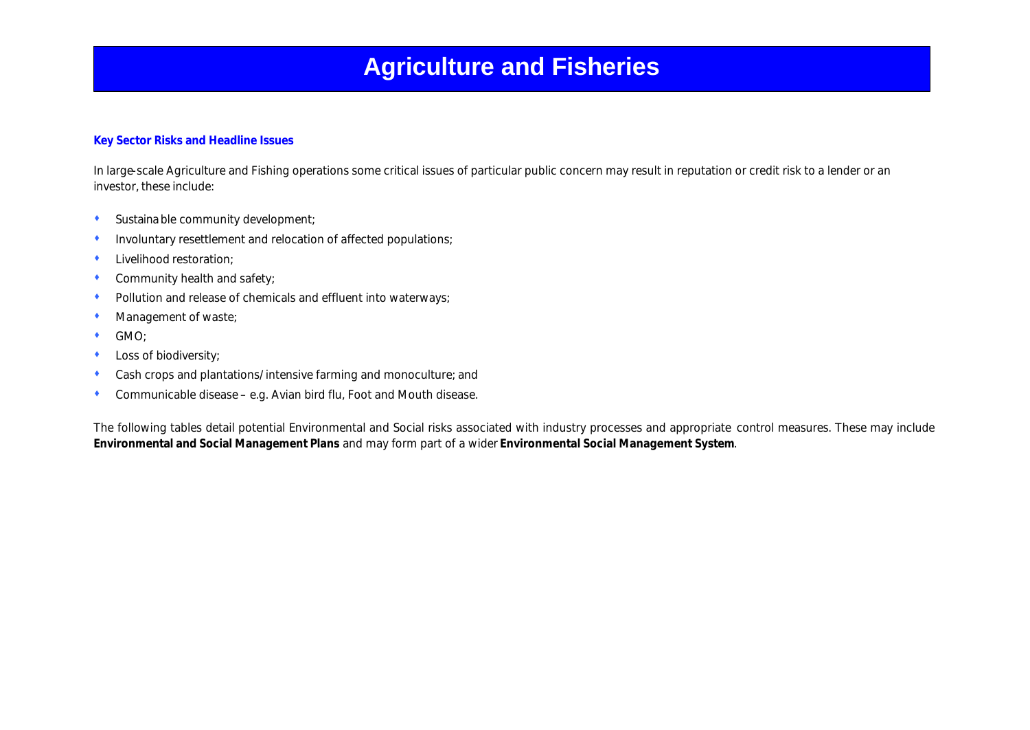### **Key Sector Risks and Headline Issues**

In large-scale Agriculture and Fishing operations some critical issues of particular public concern may result in reputation or credit risk to a lender or an investor, these include:

- $\bullet$  Sustaina ble community development;
- Involuntary resettlement and relocation of affected populations;
- Livelihood restoration:
- Community health and safety;
- Pollution and release of chemicals and effluent into waterways;
- Management of waste;
- $\bullet$  GMO;
- Loss of biodiversity;
- Cash crops and plantations/intensive farming and monoculture; and
- $\bullet$  Communicable disease e.g. Avian bird flu, Foot and Mouth disease.

The following tables detail potential Environmental and Social risks associated with industry processes and appropriate control measures. These may include **Environmental and Social Management Plans** and may form part of a wider **Environmental Social Management System**.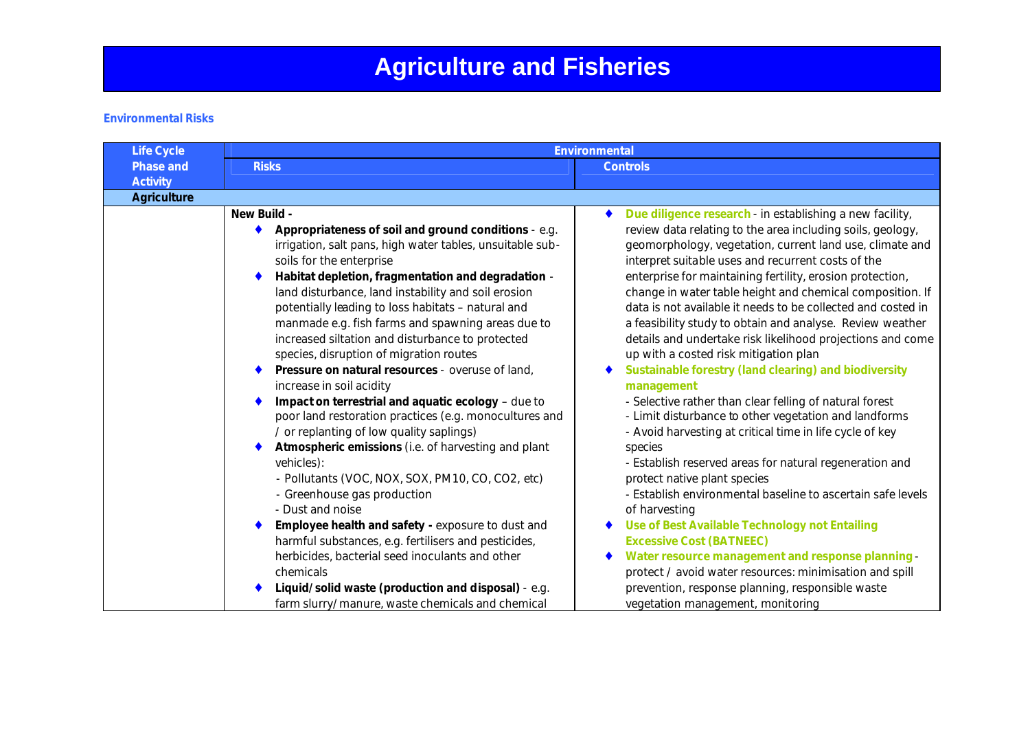### **Environmental Risks**

|                                                                                                                                                                                                                                                                                                                                                                                                                                                                                                                                                                                                                                                                                                                                                                                                                                                                                                                                                                                                                                                                                                       | <b>Controls</b>                                                                                                                                                                                                                                                                                                                                                                                                                                                                                                                                                                                                                                                                                                                                                                                                                                                                                                                                                                                                                                                                                                                                                                                                                                                                                              |
|-------------------------------------------------------------------------------------------------------------------------------------------------------------------------------------------------------------------------------------------------------------------------------------------------------------------------------------------------------------------------------------------------------------------------------------------------------------------------------------------------------------------------------------------------------------------------------------------------------------------------------------------------------------------------------------------------------------------------------------------------------------------------------------------------------------------------------------------------------------------------------------------------------------------------------------------------------------------------------------------------------------------------------------------------------------------------------------------------------|--------------------------------------------------------------------------------------------------------------------------------------------------------------------------------------------------------------------------------------------------------------------------------------------------------------------------------------------------------------------------------------------------------------------------------------------------------------------------------------------------------------------------------------------------------------------------------------------------------------------------------------------------------------------------------------------------------------------------------------------------------------------------------------------------------------------------------------------------------------------------------------------------------------------------------------------------------------------------------------------------------------------------------------------------------------------------------------------------------------------------------------------------------------------------------------------------------------------------------------------------------------------------------------------------------------|
|                                                                                                                                                                                                                                                                                                                                                                                                                                                                                                                                                                                                                                                                                                                                                                                                                                                                                                                                                                                                                                                                                                       |                                                                                                                                                                                                                                                                                                                                                                                                                                                                                                                                                                                                                                                                                                                                                                                                                                                                                                                                                                                                                                                                                                                                                                                                                                                                                                              |
|                                                                                                                                                                                                                                                                                                                                                                                                                                                                                                                                                                                                                                                                                                                                                                                                                                                                                                                                                                                                                                                                                                       |                                                                                                                                                                                                                                                                                                                                                                                                                                                                                                                                                                                                                                                                                                                                                                                                                                                                                                                                                                                                                                                                                                                                                                                                                                                                                                              |
|                                                                                                                                                                                                                                                                                                                                                                                                                                                                                                                                                                                                                                                                                                                                                                                                                                                                                                                                                                                                                                                                                                       |                                                                                                                                                                                                                                                                                                                                                                                                                                                                                                                                                                                                                                                                                                                                                                                                                                                                                                                                                                                                                                                                                                                                                                                                                                                                                                              |
| Appropriateness of soil and ground conditions - e.g.<br>irrigation, salt pans, high water tables, unsuitable sub-<br>soils for the enterprise<br>Habitat depletion, fragmentation and degradation -<br>land disturbance, land instability and soil erosion<br>potentially leading to loss habitats - natural and<br>manmade e.g. fish farms and spawning areas due to<br>increased siltation and disturbance to protected<br>species, disruption of migration routes<br>Pressure on natural resources - overuse of land,<br>increase in soil acidity<br>Impact on terrestrial and aquatic ecology - due to<br>poor land restoration practices (e.g. monocultures and<br>/ or replanting of low quality saplings)<br>Atmospheric emissions (i.e. of harvesting and plant<br>- Pollutants (VOC, NOX, SOX, PM10, CO, CO2, etc)<br>- Greenhouse gas production<br>- Dust and noise<br>Employee health and safety - exposure to dust and<br>harmful substances, e.g. fertilisers and pesticides,<br>herbicides, bacterial seed inoculants and other<br>Liquid/solid waste (production and disposal) - e.g. | Due diligence research - in establishing a new facility,<br>review data relating to the area including soils, geology,<br>geomorphology, vegetation, current land use, climate and<br>interpret suitable uses and recurrent costs of the<br>enterprise for maintaining fertility, erosion protection,<br>change in water table height and chemical composition. If<br>data is not available it needs to be collected and costed in<br>a feasibility study to obtain and analyse. Review weather<br>details and undertake risk likelihood projections and come<br>up with a costed risk mitigation plan<br>Sustainable forestry (land clearing) and biodiversity<br>management<br>- Selective rather than clear felling of natural forest<br>- Limit disturbance to other vegetation and landforms<br>- Avoid harvesting at critical time in life cycle of key<br>species<br>- Establish reserved areas for natural regeneration and<br>protect native plant species<br>- Establish environmental baseline to ascertain safe levels<br>of harvesting<br>Use of Best Available Technology not Entailing<br><b>Excessive Cost (BATNEEC)</b><br>Water resource management and response planning -<br>protect / avoid water resources: minimisation and spill<br>prevention, response planning, responsible waste |
|                                                                                                                                                                                                                                                                                                                                                                                                                                                                                                                                                                                                                                                                                                                                                                                                                                                                                                                                                                                                                                                                                                       | farm slurry/manure, waste chemicals and chemical                                                                                                                                                                                                                                                                                                                                                                                                                                                                                                                                                                                                                                                                                                                                                                                                                                                                                                                                                                                                                                                                                                                                                                                                                                                             |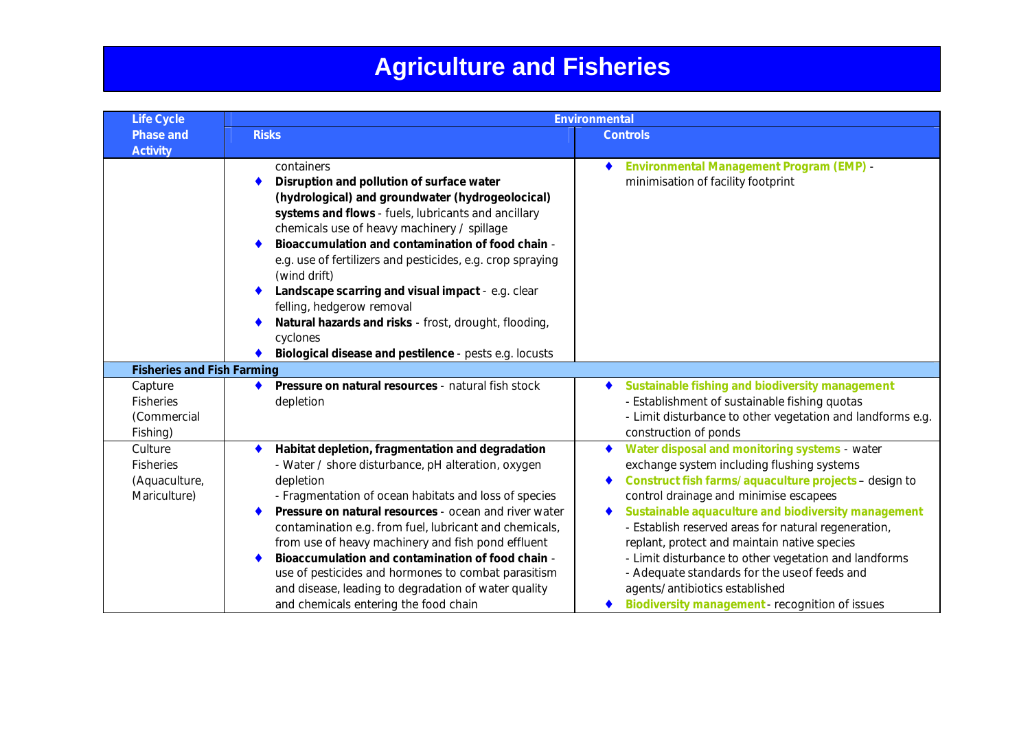| <b>Life Cycle</b>                                      |                                                                                                                                                                                                                                                                                                                                                                                                                                                                                                                                                                                 | <b>Environmental</b>                                                                                                                                                                                                                                                                                                                                                                                                                                                                                                                                                |
|--------------------------------------------------------|---------------------------------------------------------------------------------------------------------------------------------------------------------------------------------------------------------------------------------------------------------------------------------------------------------------------------------------------------------------------------------------------------------------------------------------------------------------------------------------------------------------------------------------------------------------------------------|---------------------------------------------------------------------------------------------------------------------------------------------------------------------------------------------------------------------------------------------------------------------------------------------------------------------------------------------------------------------------------------------------------------------------------------------------------------------------------------------------------------------------------------------------------------------|
| <b>Phase and</b>                                       | <b>Risks</b>                                                                                                                                                                                                                                                                                                                                                                                                                                                                                                                                                                    | <b>Controls</b>                                                                                                                                                                                                                                                                                                                                                                                                                                                                                                                                                     |
| <b>Activity</b>                                        | containers<br>Disruption and pollution of surface water<br>(hydrological) and groundwater (hydrogeolocical)<br>systems and flows - fuels, lubricants and ancillary<br>chemicals use of heavy machinery / spillage<br>Bioaccumulation and contamination of food chain -<br>e.g. use of fertilizers and pesticides, e.g. crop spraying<br>(wind drift)<br>Landscape scarring and visual impact - e.g. clear<br>felling, hedgerow removal<br>Natural hazards and risks - frost, drought, flooding,<br>cyclones<br>Biological disease and pestilence - pests e.g. locusts           | <b>Environmental Management Program (EMP) -</b><br>minimisation of facility footprint                                                                                                                                                                                                                                                                                                                                                                                                                                                                               |
| <b>Fisheries and Fish Farming</b>                      |                                                                                                                                                                                                                                                                                                                                                                                                                                                                                                                                                                                 |                                                                                                                                                                                                                                                                                                                                                                                                                                                                                                                                                                     |
| Capture<br><b>Fisheries</b><br>(Commercial<br>Fishing) | Pressure on natural resources - natural fish stock<br>$\bullet$<br>depletion                                                                                                                                                                                                                                                                                                                                                                                                                                                                                                    | Sustainable fishing and biodiversity management<br>- Establishment of sustainable fishing quotas<br>- Limit disturbance to other vegetation and landforms e.g.<br>construction of ponds                                                                                                                                                                                                                                                                                                                                                                             |
| Culture<br>Fisheries<br>(Aquaculture,<br>Mariculture)  | Habitat depletion, fragmentation and degradation<br>$\bullet$<br>- Water / shore disturbance, pH alteration, oxygen<br>depletion<br>- Fragmentation of ocean habitats and loss of species<br>Pressure on natural resources - ocean and river water<br>contamination e.g. from fuel, lubricant and chemicals,<br>from use of heavy machinery and fish pond effluent<br>Bioaccumulation and contamination of food chain -<br>use of pesticides and hormones to combat parasitism<br>and disease, leading to degradation of water quality<br>and chemicals entering the food chain | Water disposal and monitoring systems - water<br>exchange system including flushing systems<br>Construct fish farms/aquaculture projects - design to<br>control drainage and minimise escapees<br>Sustainable aquaculture and biodiversity management<br>- Establish reserved areas for natural regeneration,<br>replant, protect and maintain native species<br>- Limit disturbance to other vegetation and landforms<br>- Adequate standards for the use of feeds and<br>agents/antibiotics established<br><b>Biodiversity management - recognition of issues</b> |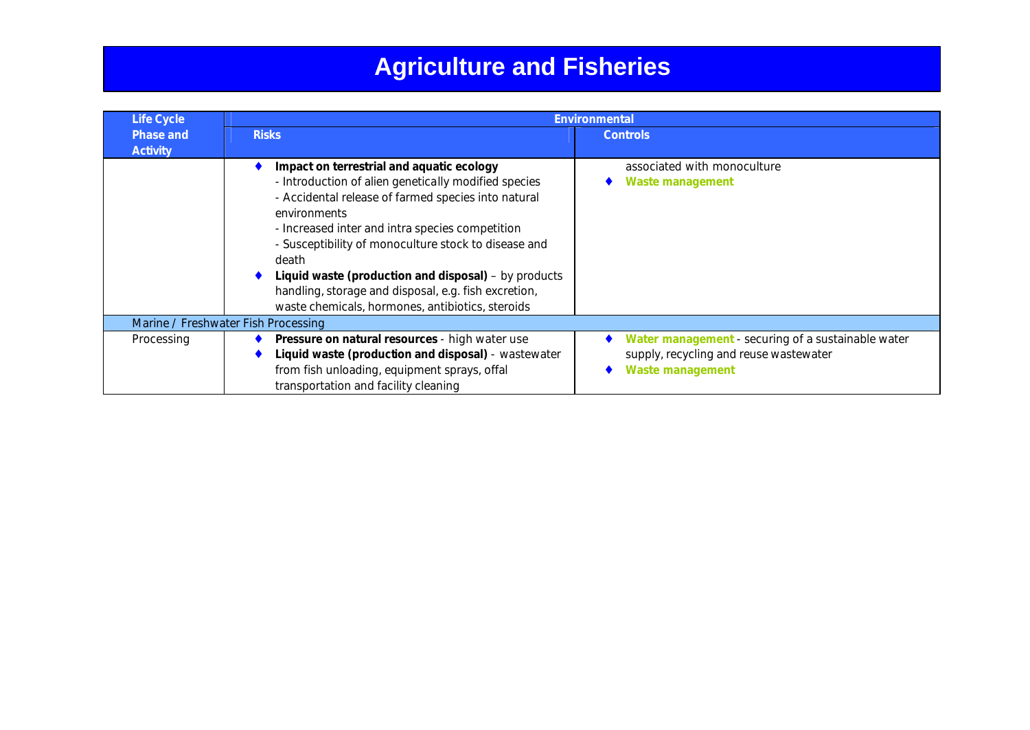| Life Cycle                   | <b>Environmental</b>                                                                                                                                                                                                                                                                                                                                                                                                                                             |                                                                                                                         |
|------------------------------|------------------------------------------------------------------------------------------------------------------------------------------------------------------------------------------------------------------------------------------------------------------------------------------------------------------------------------------------------------------------------------------------------------------------------------------------------------------|-------------------------------------------------------------------------------------------------------------------------|
| Phase and<br><b>Activity</b> | <b>Risks</b>                                                                                                                                                                                                                                                                                                                                                                                                                                                     | <b>Controls</b>                                                                                                         |
|                              | Impact on terrestrial and aquatic ecology<br>- Introduction of alien genetically modified species<br>- Accidental release of farmed species into natural<br>environments<br>- Increased inter and intra species competition<br>- Susceptibility of monoculture stock to disease and<br>death<br>Liquid waste (production and disposal) – by products<br>handling, storage and disposal, e.g. fish excretion,<br>waste chemicals, hormones, antibiotics, steroids | associated with monoculture<br>Waste management                                                                         |
|                              | Marine / Freshwater Fish Processing                                                                                                                                                                                                                                                                                                                                                                                                                              |                                                                                                                         |
| Processing                   | Pressure on natural resources - high water use<br>Liquid waste (production and disposal) - wastewater<br>from fish unloading, equipment sprays, offal<br>transportation and facility cleaning                                                                                                                                                                                                                                                                    | Water management - securing of a sustainable water<br>supply, recycling and reuse wastewater<br><b>Waste management</b> |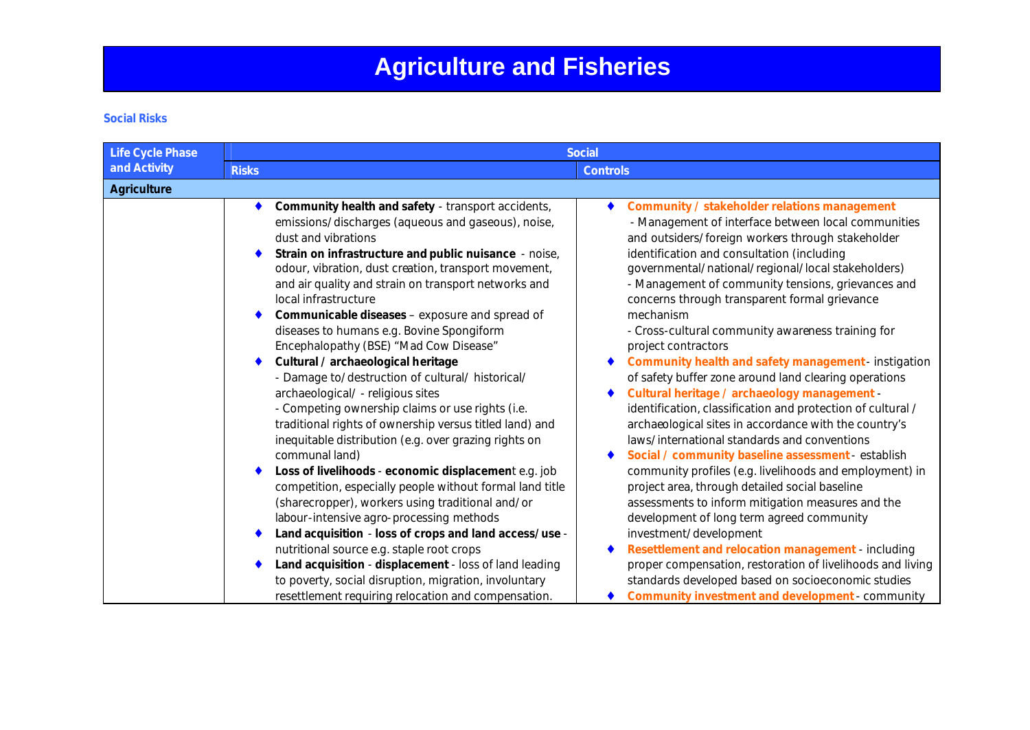### **Social Risks**

| <b>Life Cycle Phase</b> | <b>Social</b>                                                                                                                                                                                                                                                                                                                                                                                                                                                                                                                                                                                                                                                                                                                                                                                                                                                                                                                                                                                                                                                                                                                                                                           |                                                                                                                                                                                                                                                                                                                                                                                                                                                                                                                                                                                                                                                                                                                                                                                                                                                                                                                                                                                                                                                                                                                                                                                                                          |
|-------------------------|-----------------------------------------------------------------------------------------------------------------------------------------------------------------------------------------------------------------------------------------------------------------------------------------------------------------------------------------------------------------------------------------------------------------------------------------------------------------------------------------------------------------------------------------------------------------------------------------------------------------------------------------------------------------------------------------------------------------------------------------------------------------------------------------------------------------------------------------------------------------------------------------------------------------------------------------------------------------------------------------------------------------------------------------------------------------------------------------------------------------------------------------------------------------------------------------|--------------------------------------------------------------------------------------------------------------------------------------------------------------------------------------------------------------------------------------------------------------------------------------------------------------------------------------------------------------------------------------------------------------------------------------------------------------------------------------------------------------------------------------------------------------------------------------------------------------------------------------------------------------------------------------------------------------------------------------------------------------------------------------------------------------------------------------------------------------------------------------------------------------------------------------------------------------------------------------------------------------------------------------------------------------------------------------------------------------------------------------------------------------------------------------------------------------------------|
| and Activity            | <b>Risks</b>                                                                                                                                                                                                                                                                                                                                                                                                                                                                                                                                                                                                                                                                                                                                                                                                                                                                                                                                                                                                                                                                                                                                                                            | <b>Controls</b>                                                                                                                                                                                                                                                                                                                                                                                                                                                                                                                                                                                                                                                                                                                                                                                                                                                                                                                                                                                                                                                                                                                                                                                                          |
| <b>Agriculture</b>      |                                                                                                                                                                                                                                                                                                                                                                                                                                                                                                                                                                                                                                                                                                                                                                                                                                                                                                                                                                                                                                                                                                                                                                                         |                                                                                                                                                                                                                                                                                                                                                                                                                                                                                                                                                                                                                                                                                                                                                                                                                                                                                                                                                                                                                                                                                                                                                                                                                          |
|                         | Community health and safety - transport accidents,<br>emissions/discharges (aqueous and gaseous), noise,<br>dust and vibrations<br>Strain on infrastructure and public nuisance - noise,<br>odour, vibration, dust creation, transport movement,<br>and air quality and strain on transport networks and<br>local infrastructure<br>Communicable diseases - exposure and spread of<br>diseases to humans e.g. Bovine Spongiform<br>Encephalopathy (BSE) "Mad Cow Disease"<br>Cultural / archaeological heritage<br>- Damage to/destruction of cultural/ historical/<br>archaeological/ - religious sites<br>- Competing ownership claims or use rights (i.e.<br>traditional rights of ownership versus titled land) and<br>inequitable distribution (e.g. over grazing rights on<br>communal land)<br>Loss of livelihoods - economic displacement e.g. job<br>competition, especially people without formal land title<br>(sharecropper), workers using traditional and/or<br>labour-intensive agro-processing methods<br>Land acquisition - loss of crops and land access/use -<br>nutritional source e.g. staple root crops<br>Land acquisition - displacement - loss of land leading | Community / stakeholder relations management<br>- Management of interface between local communities<br>and outsiders/foreign workers through stakeholder<br>identification and consultation (including<br>governmental/national/regional/local stakeholders)<br>- Management of community tensions, grievances and<br>concerns through transparent formal grievance<br>mechanism<br>- Cross-cultural community awareness training for<br>project contractors<br>Community health and safety management - instigation<br>of safety buffer zone around land clearing operations<br>Cultural heritage / archaeology management -<br>identification, classification and protection of cultural /<br>archaeological sites in accordance with the country's<br>laws/international standards and conventions<br>Social / community baseline assessment - establish<br>community profiles (e.g. livelihoods and employment) in<br>project area, through detailed social baseline<br>assessments to inform mitigation measures and the<br>development of long term agreed community<br>investment/development<br>Resettlement and relocation management - including<br>proper compensation, restoration of livelihoods and living |
|                         | to poverty, social disruption, migration, involuntary<br>resettlement requiring relocation and compensation.                                                                                                                                                                                                                                                                                                                                                                                                                                                                                                                                                                                                                                                                                                                                                                                                                                                                                                                                                                                                                                                                            | standards developed based on socioeconomic studies<br><b>Community investment and development - community</b>                                                                                                                                                                                                                                                                                                                                                                                                                                                                                                                                                                                                                                                                                                                                                                                                                                                                                                                                                                                                                                                                                                            |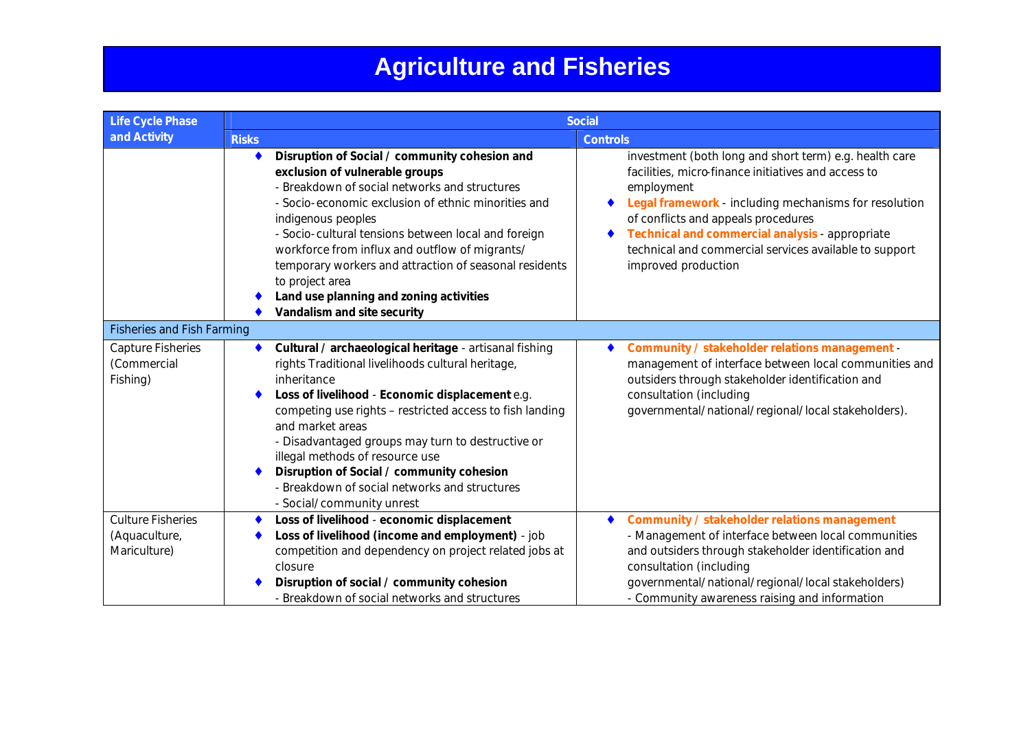| <b>Life Cycle Phase</b>                                   | <b>Social</b>                                                                                                                                                                                                                                                                                                                                                                                                                                                                         |                                                                                                                                                                                                                                                                                                                                                                 |
|-----------------------------------------------------------|---------------------------------------------------------------------------------------------------------------------------------------------------------------------------------------------------------------------------------------------------------------------------------------------------------------------------------------------------------------------------------------------------------------------------------------------------------------------------------------|-----------------------------------------------------------------------------------------------------------------------------------------------------------------------------------------------------------------------------------------------------------------------------------------------------------------------------------------------------------------|
| and Activity                                              | <b>Risks</b>                                                                                                                                                                                                                                                                                                                                                                                                                                                                          | <b>Controls</b>                                                                                                                                                                                                                                                                                                                                                 |
|                                                           | Disruption of Social / community cohesion and<br>exclusion of vulnerable groups<br>- Breakdown of social networks and structures<br>- Socio-economic exclusion of ethnic minorities and<br>indigenous peoples<br>- Socio-cultural tensions between local and foreign<br>workforce from influx and outflow of migrants/<br>temporary workers and attraction of seasonal residents<br>to project area<br>Land use planning and zoning activities<br>Vandalism and site security         | investment (both long and short term) e.g. health care<br>facilities, micro-finance initiatives and access to<br>employment<br>Legal framework - including mechanisms for resolution<br>of conflicts and appeals procedures<br>Technical and commercial analysis - appropriate<br>technical and commercial services available to support<br>improved production |
| <b>Fisheries and Fish Farming</b>                         |                                                                                                                                                                                                                                                                                                                                                                                                                                                                                       |                                                                                                                                                                                                                                                                                                                                                                 |
| <b>Capture Fisheries</b><br>(Commercial<br>Fishing)       | Cultural / archaeological heritage - artisanal fishing<br>۰<br>rights Traditional livelihoods cultural heritage,<br>inheritance<br>Loss of livelihood - Economic displacement e.g.<br>competing use rights - restricted access to fish landing<br>and market areas<br>- Disadvantaged groups may turn to destructive or<br>illegal methods of resource use<br>Disruption of Social / community cohesion<br>- Breakdown of social networks and structures<br>- Social/community unrest | Community / stakeholder relations management -<br>management of interface between local communities and<br>outsiders through stakeholder identification and<br>consultation (including<br>governmental/national/regional/local stakeholders).                                                                                                                   |
| <b>Culture Fisheries</b><br>(Aquaculture,<br>Mariculture) | Loss of livelihood - economic displacement<br>Loss of livelihood (income and employment) - job<br>competition and dependency on project related jobs at<br>closure<br>Disruption of social / community cohesion<br>- Breakdown of social networks and structures                                                                                                                                                                                                                      | Community / stakeholder relations management<br>- Management of interface between local communities<br>and outsiders through stakeholder identification and<br>consultation (including<br>governmental/national/regional/local stakeholders)<br>- Community awareness raising and information                                                                   |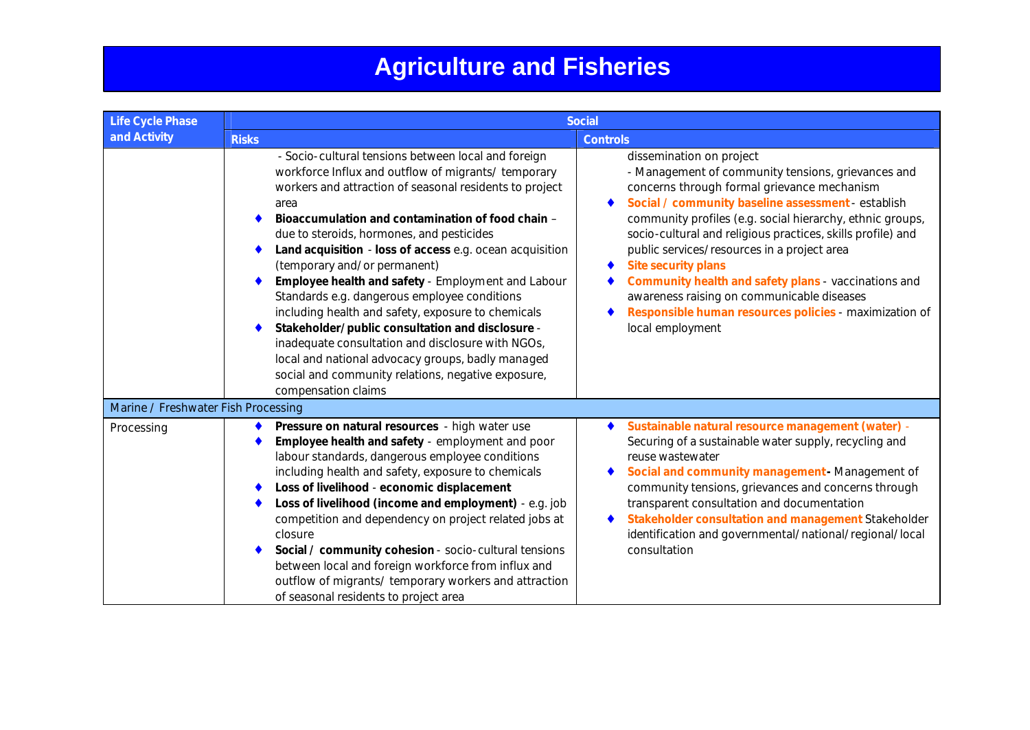| <b>Life Cycle Phase</b>             | <b>Social</b>                                                                                                                                                                                                                                                                                                                                                                                                                                                                                                                                                                                                                                                                                                                                                                      |                                                                                                                                                                                                                                                                                                                                                                                                                                                                                                                                                                                  |
|-------------------------------------|------------------------------------------------------------------------------------------------------------------------------------------------------------------------------------------------------------------------------------------------------------------------------------------------------------------------------------------------------------------------------------------------------------------------------------------------------------------------------------------------------------------------------------------------------------------------------------------------------------------------------------------------------------------------------------------------------------------------------------------------------------------------------------|----------------------------------------------------------------------------------------------------------------------------------------------------------------------------------------------------------------------------------------------------------------------------------------------------------------------------------------------------------------------------------------------------------------------------------------------------------------------------------------------------------------------------------------------------------------------------------|
| and Activity                        | <b>Risks</b>                                                                                                                                                                                                                                                                                                                                                                                                                                                                                                                                                                                                                                                                                                                                                                       | <b>Controls</b>                                                                                                                                                                                                                                                                                                                                                                                                                                                                                                                                                                  |
|                                     | - Socio-cultural tensions between local and foreign<br>workforce Influx and outflow of migrants/ temporary<br>workers and attraction of seasonal residents to project<br>area<br>Bioaccumulation and contamination of food chain -<br>due to steroids, hormones, and pesticides<br>Land acquisition - loss of access e.g. ocean acquisition<br>(temporary and/or permanent)<br>Employee health and safety - Employment and Labour<br>Standards e.g. dangerous employee conditions<br>including health and safety, exposure to chemicals<br>Stakeholder/public consultation and disclosure -<br>inadequate consultation and disclosure with NGOs,<br>local and national advocacy groups, badly managed<br>social and community relations, negative exposure,<br>compensation claims | dissemination on project<br>- Management of community tensions, grievances and<br>concerns through formal grievance mechanism<br>Social / community baseline assessment - establish<br>community profiles (e.g. social hierarchy, ethnic groups,<br>socio-cultural and religious practices, skills profile) and<br>public services/resources in a project area<br><b>Site security plans</b><br>Community health and safety plans - vaccinations and<br>awareness raising on communicable diseases<br>Responsible human resources policies - maximization of<br>local employment |
| Marine / Freshwater Fish Processing |                                                                                                                                                                                                                                                                                                                                                                                                                                                                                                                                                                                                                                                                                                                                                                                    |                                                                                                                                                                                                                                                                                                                                                                                                                                                                                                                                                                                  |
| Processing                          | Pressure on natural resources - high water use<br>Employee health and safety - employment and poor<br>labour standards, dangerous employee conditions<br>including health and safety, exposure to chemicals<br>Loss of livelihood - economic displacement<br>Loss of livelihood (income and employment) - e.g. job<br>competition and dependency on project related jobs at<br>closure<br>Social / community cohesion - socio-cultural tensions<br>between local and foreign workforce from influx and<br>outflow of migrants/ temporary workers and attraction<br>of seasonal residents to project area                                                                                                                                                                           | Sustainable natural resource management (water) -<br>Securing of a sustainable water supply, recycling and<br>reuse wastewater<br>Social and community management - Management of<br>community tensions, grievances and concerns through<br>transparent consultation and documentation<br>Stakeholder consultation and management Stakeholder<br>identification and governmental/national/regional/local<br>consultation                                                                                                                                                         |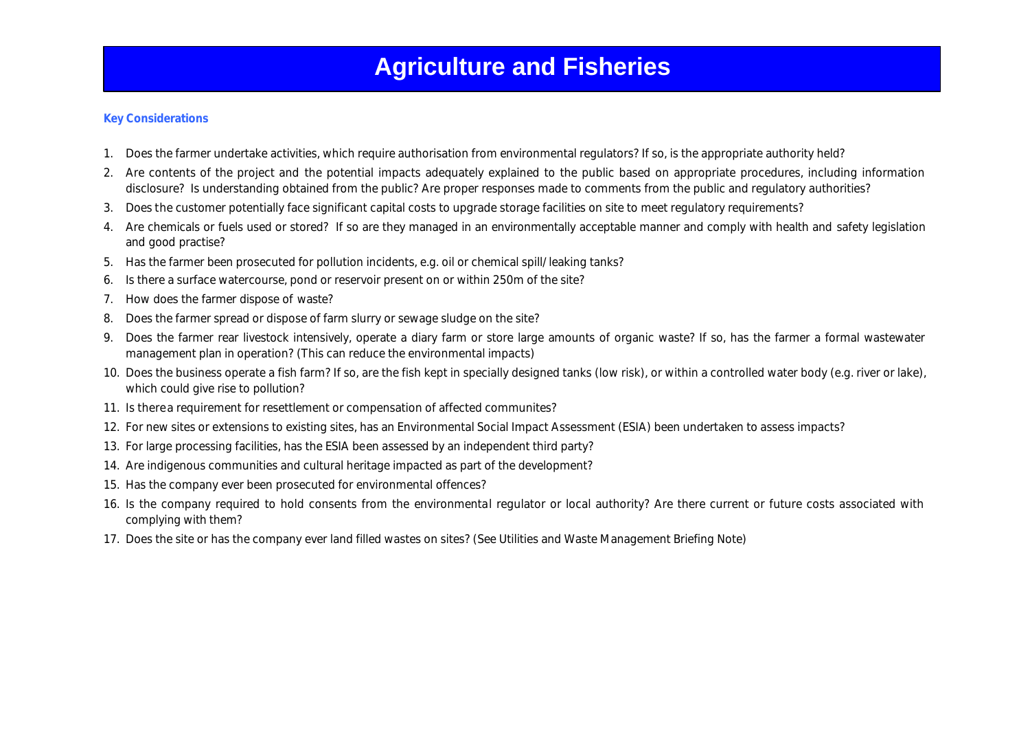### **Key Considerations**

- 1. Does the farmer undertake activities, which require authorisation from environmental regulators? If so, is the appropriate authority held?
- 2. Are contents of the project and the potential impacts adequately explained to the public based on appropriate procedures, including information disclosure? Is understanding obtained from the public? Are proper responses made to comments from the public and regulatory authorities?
- 3. Does the customer potentially face significant capital costs to upgrade storage facilities on site to meet regulatory requirements?
- 4. Are chemicals or fuels used or stored? If so are they managed in an environmentally acceptable manner and comply with health and safety legislation and good practise?
- 5. Has the farmer been prosecuted for pollution incidents, e.g. oil or chemical spill/leaking tanks?
- 6. Is there a surface watercourse, pond or reservoir present on or within 250m of the site?
- 7. How does the farmer dispose of waste?
- 8. Does the farmer spread or dispose of farm slurry or sewage sludge on the site?
- 9. Does the farmer rear livestock intensively, operate a diary farm or store large amounts of organic waste? If so, has the farmer a formal wastewater management plan in operation? (This can reduce the environmental impacts)
- 10. Does the business operate a fish farm? If so, are the fish kept in specially designed tanks (low risk), or within a controlled water body (e.g. river or lake), which could give rise to pollution?
- 11. Is there a requirement for resettlement or compensation of affected communites?
- 12. For new sites or extensions to existing sites, has an Environmental Social Impact Assessment (ESIA) been undertaken to assess impacts?
- 13. For large processing facilities, has the ESIA been assessed by an independent third party?
- 14. Are indigenous communities and cultural heritage impacted as part of the development?
- 15. Has the company ever been prosecuted for environmental offences?
- 16. Is the company required to hold consents from the environmental regulator or local authority? Are there current or future costs associated with complying with them?
- 17. Does the site or has the company ever land filled wastes on sites? (See Utilities and Waste Management Briefing Note)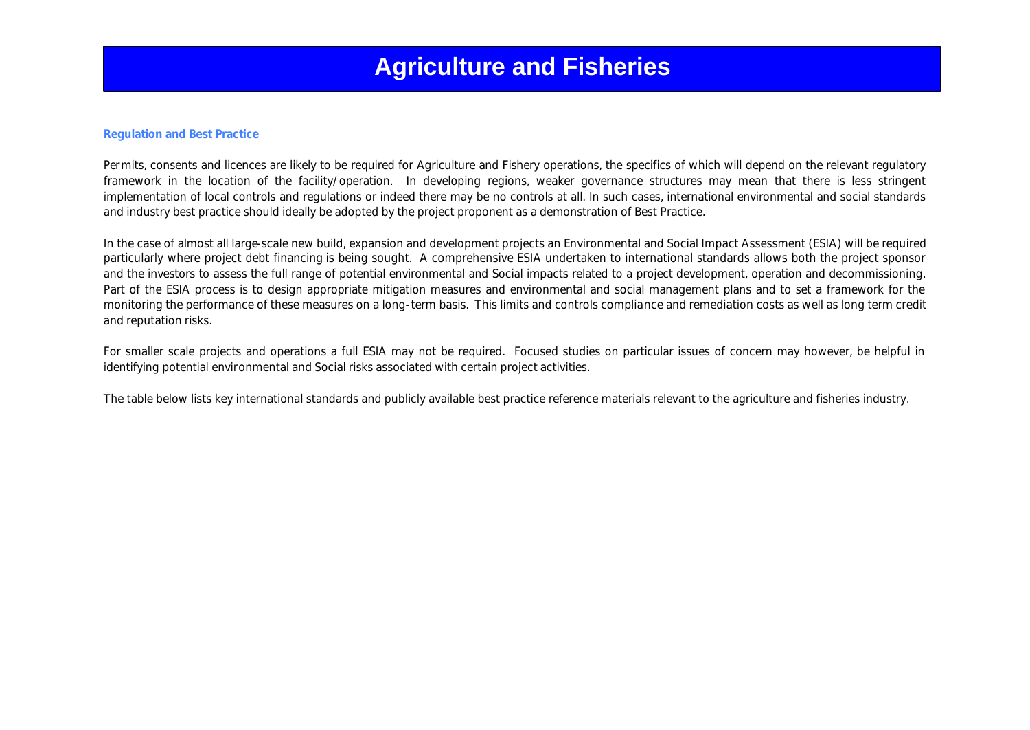### **Regulation and Best Practice**

Permits, consents and licences are likely to be required for Agriculture and Fishery operations, the specifics of which will depend on the relevant regulatory framework in the location of the facility/operation. In developing regions, weaker governance structures may mean that there is less stringent implementation of local controls and regulations or indeed there may be no controls at all. In such cases, international environmental and social standards and industry best practice should ideally be adopted by the project proponent as a demonstration of Best Practice.

In the case of almost all large-scale new build, expansion and development projects an Environmental and Social Impact Assessment (ESIA) will be required particularly where project debt financing is being sought. A comprehensive ESIA undertaken to international standards allows both the project sponsor and the investors to assess the full range of potential environmental and Social impacts related to a project development, operation and decommissioning. Part of the ESIA process is to design appropriate mitigation measures and environmental and social management plans and to set a framework for the monitoring the performance of these measures on a long-term basis. This limits and controls compliance and remediation costs as well as long term credit and reputation risks.

For smaller scale projects and operations a full ESIA may not be required. Focused studies on particular issues of concern may however, be helpful in identifying potential environmental and Social risks associated with certain project activities.

The table below lists key international standards and publicly available best practice reference materials relevant to the agriculture and fisheries industry.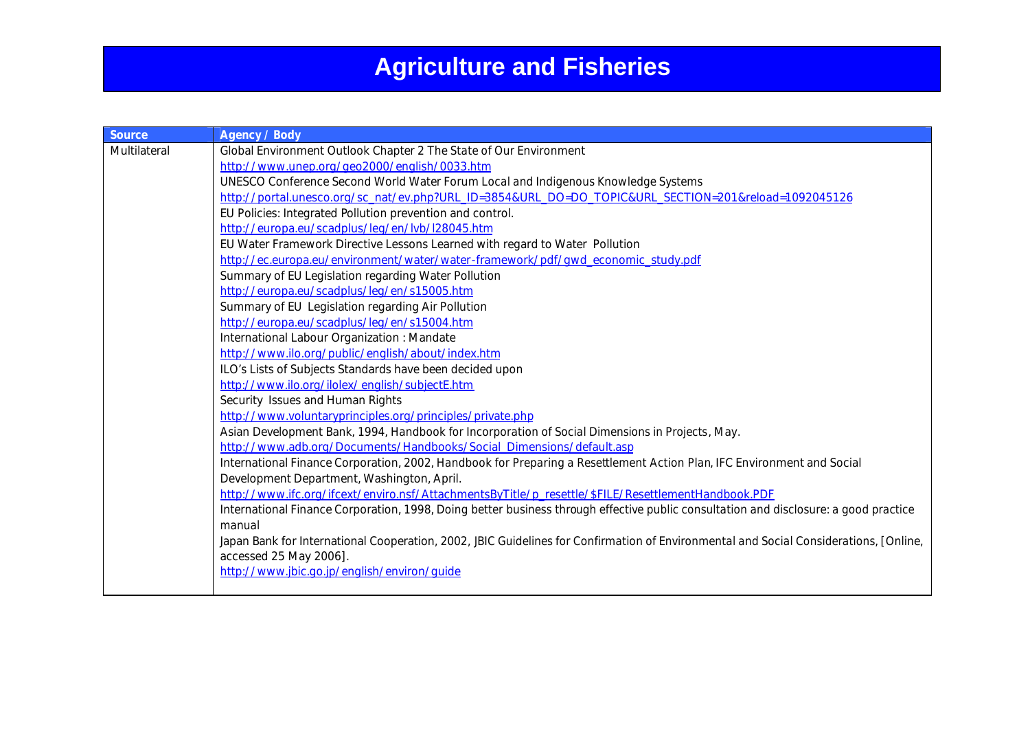| <b>Source</b> | <b>Agency / Body</b>                                                                                                                  |
|---------------|---------------------------------------------------------------------------------------------------------------------------------------|
| Multilateral  | Global Environment Outlook Chapter 2 The State of Our Environment                                                                     |
|               | http://www.unep.org/geo2000/english/0033.htm                                                                                          |
|               | UNESCO Conference Second World Water Forum Local and Indigenous Knowledge Systems                                                     |
|               | http://portal.unesco.org/sc_nat/ev.php?URL_ID=3854&URL_DO=DO_TOPIC&URL_SECTION=201&reload=1092045126                                  |
|               | EU Policies: Integrated Pollution prevention and control.                                                                             |
|               | http://europa.eu/scadplus/leg/en/lvb/l28045.htm                                                                                       |
|               | EU Water Framework Directive Lessons Learned with regard to Water Pollution                                                           |
|               | http://ec.europa.eu/environment/water/water-framework/pdf/gwd_economic_study.pdf                                                      |
|               | Summary of EU Legislation regarding Water Pollution                                                                                   |
|               | http://europa.eu/scadplus/leg/en/s15005.htm                                                                                           |
|               | Summary of EU Legislation regarding Air Pollution                                                                                     |
|               | http://europa.eu/scadplus/leg/en/s15004.htm                                                                                           |
|               | International Labour Organization : Mandate                                                                                           |
|               | http://www.ilo.org/public/english/about/index.htm                                                                                     |
|               | ILO's Lists of Subjects Standards have been decided upon                                                                              |
|               | http://www.ilo.org/ilolex/english/subjectE.htm                                                                                        |
|               | Security Issues and Human Rights                                                                                                      |
|               | http://www.voluntaryprinciples.org/principles/private.php                                                                             |
|               | Asian Development Bank, 1994, Handbook for Incorporation of Social Dimensions in Projects, May.                                       |
|               | http://www.adb.org/Documents/Handbooks/Social Dimensions/default.asp                                                                  |
|               | International Finance Corporation, 2002, Handbook for Preparing a Resettlement Action Plan, IFC Environment and Social                |
|               | Development Department, Washington, April.                                                                                            |
|               | http://www.ifc.org/ifcext/enviro.nsf/AttachmentsByTitle/p resettle/\$FILE/ResettlementHandbook.PDF                                    |
|               | International Finance Corporation, 1998, Doing better business through effective public consultation and disclosure: a good practice  |
|               | manual                                                                                                                                |
|               | Japan Bank for International Cooperation, 2002, JBIC Guidelines for Confirmation of Environmental and Social Considerations, [Online, |
|               | accessed 25 May 2006].                                                                                                                |
|               | http://www.jbic.go.jp/english/environ/guide                                                                                           |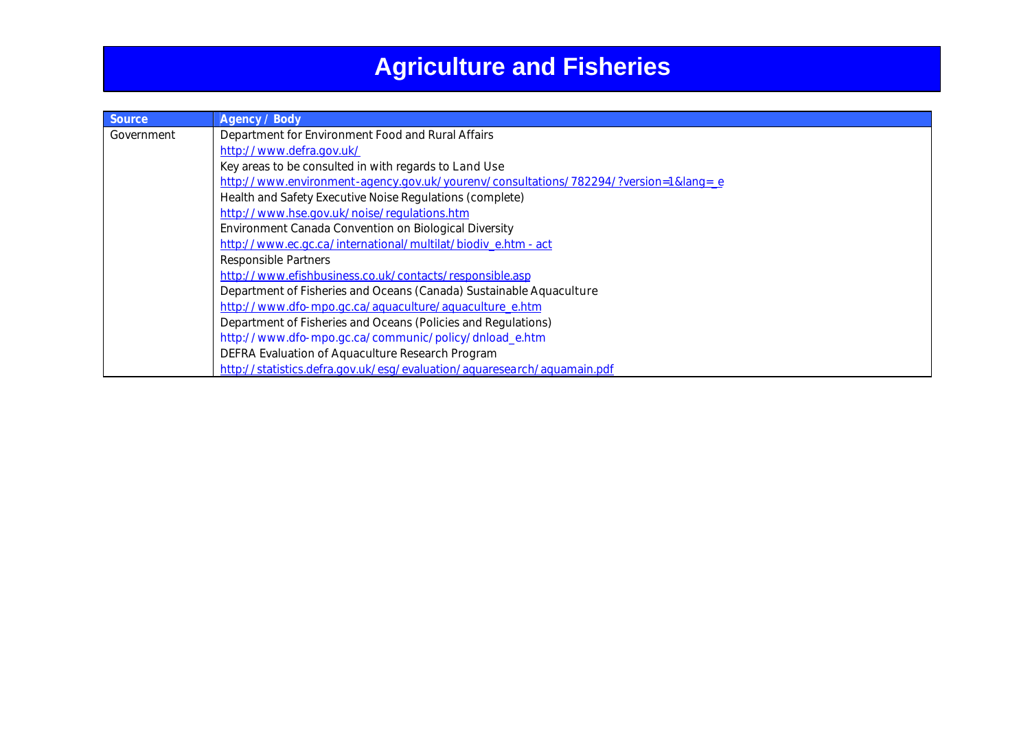| <b>Source</b> | <b>Agency / Body</b>                                                            |
|---------------|---------------------------------------------------------------------------------|
| Government    | Department for Environment Food and Rural Affairs                               |
|               | http://www.defra.gov.uk/                                                        |
|               | Key areas to be consulted in with regards to Land Use                           |
|               | http://www.environment-agency.gov.uk/yourenv/consultations/782294/?version=1⟨=e |
|               | Health and Safety Executive Noise Regulations (complete)                        |
|               | http://www.hse.gov.uk/noise/regulations.htm                                     |
|               | Environment Canada Convention on Biological Diversity                           |
|               | http://www.ec.gc.ca/international/multilat/biodiv e.htm - act                   |
|               | Responsible Partners                                                            |
|               | http://www.efishbusiness.co.uk/contacts/responsible.asp                         |
|               | Department of Fisheries and Oceans (Canada) Sustainable Aquaculture             |
|               | http://www.dfo-mpo.gc.ca/aquaculture/aquaculture_e.htm                          |
|               | Department of Fisheries and Oceans (Policies and Regulations)                   |
|               | http://www.dfo-mpo.gc.ca/communic/policy/dnload_e.htm                           |
|               | DEFRA Evaluation of Aquaculture Research Program                                |
|               | http://statistics.defra.gov.uk/esg/evaluation/aguaresearch/aguamain.pdf         |